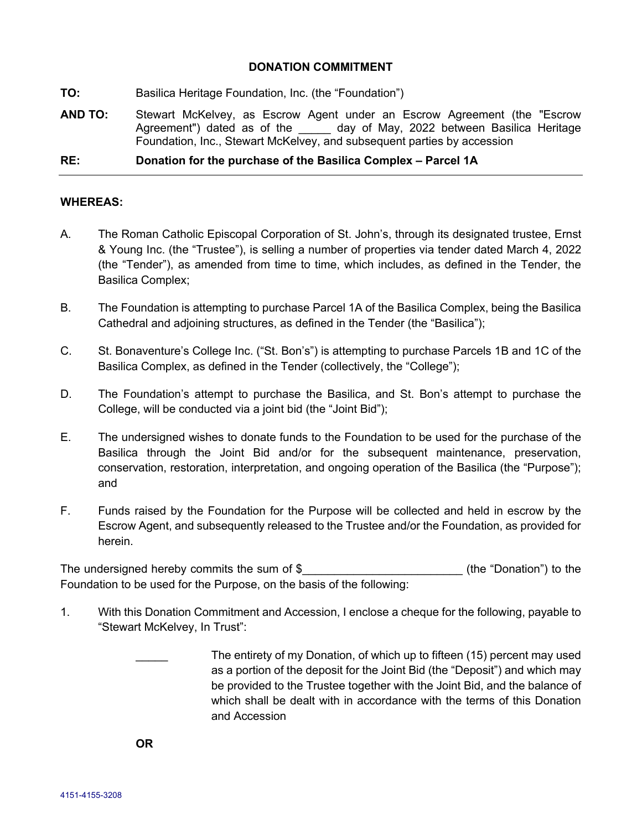## **DONATION COMMITMENT**

- **TO:** Basilica Heritage Foundation, Inc. (the "Foundation")
- **AND TO:** Stewart McKelvey, as Escrow Agent under an Escrow Agreement (the "Escrow Agreement") dated as of the \_\_\_\_\_ day of May, 2022 between Basilica Heritage Foundation, Inc., Stewart McKelvey, and subsequent parties by accession

## **RE: Donation for the purchase of the Basilica Complex – Parcel 1A**

## **WHEREAS:**

- A. The Roman Catholic Episcopal Corporation of St. John's, through its designated trustee, Ernst & Young Inc. (the "Trustee"), is selling a number of properties via tender dated March 4, 2022 (the "Tender"), as amended from time to time, which includes, as defined in the Tender, the Basilica Complex;
- B. The Foundation is attempting to purchase Parcel 1A of the Basilica Complex, being the Basilica Cathedral and adjoining structures, as defined in the Tender (the "Basilica");
- C. St. Bonaventure's College Inc. ("St. Bon's") is attempting to purchase Parcels 1B and 1C of the Basilica Complex, as defined in the Tender (collectively, the "College");
- D. The Foundation's attempt to purchase the Basilica, and St. Bon's attempt to purchase the College, will be conducted via a joint bid (the "Joint Bid");
- E. The undersigned wishes to donate funds to the Foundation to be used for the purchase of the Basilica through the Joint Bid and/or for the subsequent maintenance, preservation, conservation, restoration, interpretation, and ongoing operation of the Basilica (the "Purpose"); and
- F. Funds raised by the Foundation for the Purpose will be collected and held in escrow by the Escrow Agent, and subsequently released to the Trustee and/or the Foundation, as provided for herein.

The undersigned hereby commits the sum of \$  $\qquad \qquad$  (the "Donation") to the Foundation to be used for the Purpose, on the basis of the following:

- 1. With this Donation Commitment and Accession, I enclose a cheque for the following, payable to "Stewart McKelvey, In Trust":
	- The entirety of my Donation, of which up to fifteen (15) percent may used as a portion of the deposit for the Joint Bid (the "Deposit") and which may be provided to the Trustee together with the Joint Bid, and the balance of which shall be dealt with in accordance with the terms of this Donation and Accession

**OR**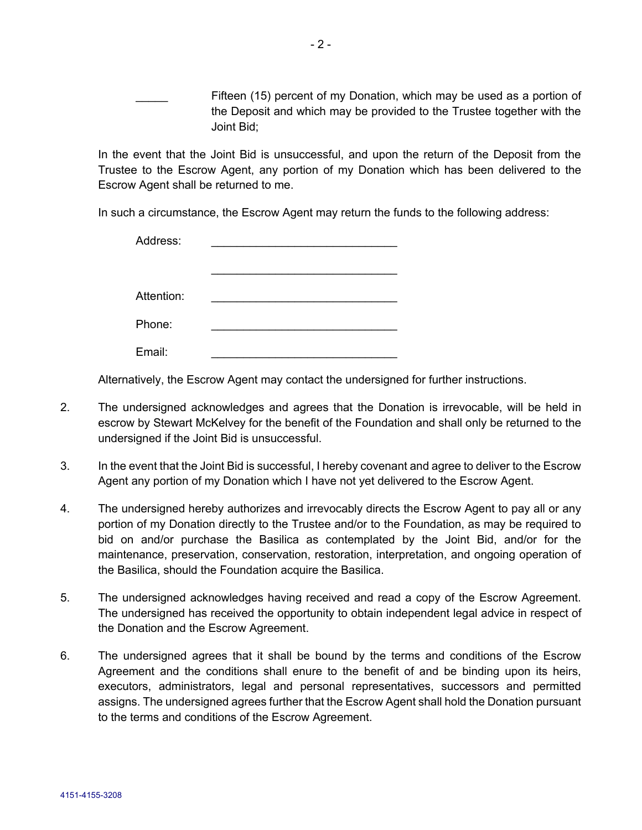Fifteen (15) percent of my Donation, which may be used as a portion of the Deposit and which may be provided to the Trustee together with the Joint Bid;

In the event that the Joint Bid is unsuccessful, and upon the return of the Deposit from the Trustee to the Escrow Agent, any portion of my Donation which has been delivered to the Escrow Agent shall be returned to me.

In such a circumstance, the Escrow Agent may return the funds to the following address:

| Address:   |  |
|------------|--|
|            |  |
|            |  |
| Attention: |  |
| Phone:     |  |
| Email:     |  |

Alternatively, the Escrow Agent may contact the undersigned for further instructions.

- 2. The undersigned acknowledges and agrees that the Donation is irrevocable, will be held in escrow by Stewart McKelvey for the benefit of the Foundation and shall only be returned to the undersigned if the Joint Bid is unsuccessful.
- 3. In the event that the Joint Bid is successful, I hereby covenant and agree to deliver to the Escrow Agent any portion of my Donation which I have not yet delivered to the Escrow Agent.
- 4. The undersigned hereby authorizes and irrevocably directs the Escrow Agent to pay all or any portion of my Donation directly to the Trustee and/or to the Foundation, as may be required to bid on and/or purchase the Basilica as contemplated by the Joint Bid, and/or for the maintenance, preservation, conservation, restoration, interpretation, and ongoing operation of the Basilica, should the Foundation acquire the Basilica.
- 5. The undersigned acknowledges having received and read a copy of the Escrow Agreement. The undersigned has received the opportunity to obtain independent legal advice in respect of the Donation and the Escrow Agreement.
- 6. The undersigned agrees that it shall be bound by the terms and conditions of the Escrow Agreement and the conditions shall enure to the benefit of and be binding upon its heirs, executors, administrators, legal and personal representatives, successors and permitted assigns. The undersigned agrees further that the Escrow Agent shall hold the Donation pursuant to the terms and conditions of the Escrow Agreement.